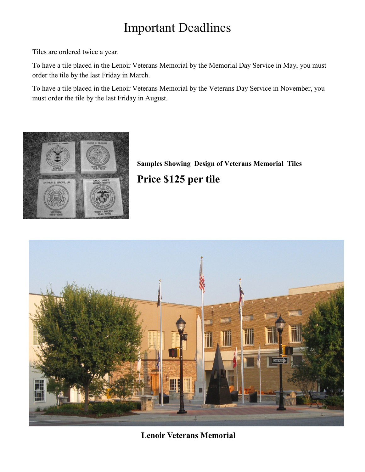## Important Deadlines

Tiles are ordered twice a year.

To have a tile placed in the Lenoir Veterans Memorial by the Memorial Day Service in May, you must order the tile by the last Friday in March.

To have a tile placed in the Lenoir Veterans Memorial by the Veterans Day Service in November, you must order the tile by the last Friday in August.



**Samples Showing Design of Veterans Memorial Tiles Price \$125 per tile**



**Lenoir Veterans Memorial**